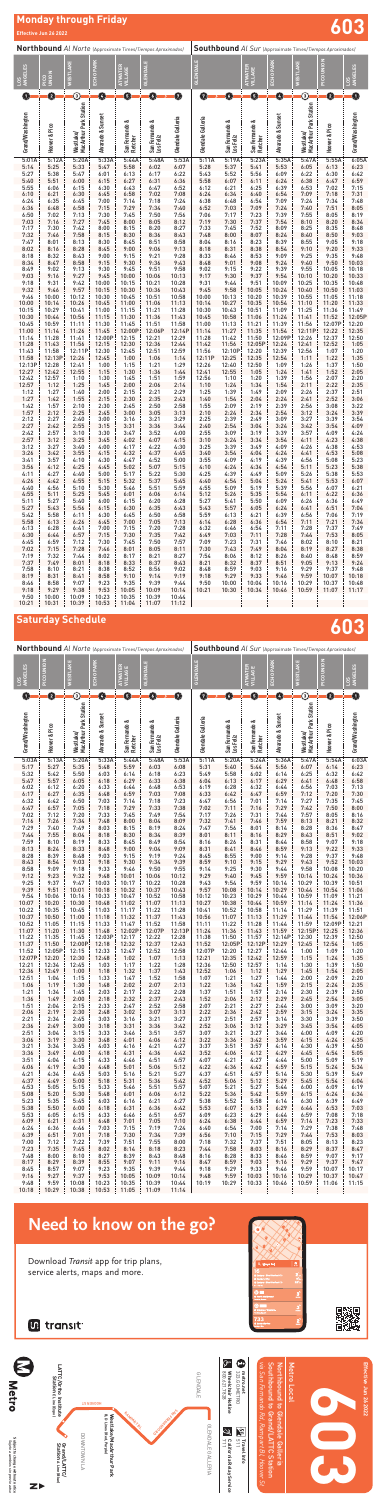**Southbound** *Al Sur* (Approximate Times/*Tiempos Aproximados)*

| ANGELES<br>105   | PICO UNIO       | ESTLAKE                                    | ECHO PARK         | <b>ATER</b><br>VILLAGE         | <b>GLENDALE</b>                |                   | <b>GLENDAL</b>    |                             | <b>WATER</b><br>VILLAGE    | ECHO PARI         | ESTLAKE                             | PICO UNION      | <b>ANGELES</b><br>šp |
|------------------|-----------------|--------------------------------------------|-------------------|--------------------------------|--------------------------------|-------------------|-------------------|-----------------------------|----------------------------|-------------------|-------------------------------------|-----------------|----------------------|
| O                | 0               | ③                                          | G                 | G                              | 0                              | Ø                 | Ø                 | G                           | O                          | ٥                 | $\odot$                             | 0               | Ō                    |
| Grand/Washington | Hoover & Pico   | <b>MacArthur Park Station</b><br>Westlake/ | Alvarado & Sunset | San Fernando &<br>Fletcher     | ∝<br>San Fernando<br>Los Feliz | Glendale Galleria | Glendale Galleria | San Fernando &<br>Los Feliz | San Fernando &<br>Fletcher | Alvarado & Sunset | MacArthur Park Station<br>Westlake/ | Hoover & Pico   | Grand/Washington     |
| 5:03A            | 5:13A           | 5:20A                                      | 5:33A             | 5:44A                          | 5:48A                          | 5:53A             | 5:11A             | 5:20A                       | 5:24A                      | 5:36A             | 5:47A                               | 5:54A           | 6:03A                |
| 5:17<br>5:32     | 5:27<br>5:42    | 5:35<br>5:50                               | 5:48<br>6:03      | 5:59<br>6:14                   | 6:03<br>6:18                   | 6:08<br>6:23      | 5:31<br>5:49      | 5:40<br>5:58                | 5:44<br>6:02               | 5:56<br>6:14      | 6:07<br>6:25                        | 6:14<br>6:32    | 6:23<br>6:42         |
| 5:47             | 5:57            | 6:05                                       | 6:18              | 6:29                           | 6:33                           | 6:38              | 6:04              | 6:13                        | 6:17                       | 6:29              | 6:41                                | 6:48            | 6:58                 |
| 6:02             | 6:12            | 6:20                                       | 6:33              | 6:44                           | 6:48                           | 6:53              | 6:19              | 6:28                        | 6:32                       | 6:44              | 6:56                                | 7:03            | 7:13                 |
| 6:17             | 6:27            | 6:35                                       | 6:48              | 6:59                           | 7:03                           | 7:08              | 6:33              | 6:42                        | 6:47                       | 6:59              | 7:12                                | 7:20            | 7:30                 |
| 6:32             | 6:42<br>6:57    | 6:50                                       | 7:03              | 7:14<br>7:29                   | 7:18                           | 7:23<br>7:38      | 6:47<br>7:02      | 6:56                        | 7:01                       | 7:14<br>7:29      | 7:27                                | 7:35<br>7:50    | 7:45                 |
| 6:47<br>7:02     | 7:12            | 7:05<br>7:20                               | 7:18<br>7:33      | 7:45                           | 7:33<br>7:49                   | 7:54              | 7:17              | 7:11<br>7:26                | 7:16<br>7:31               | 7:44              | 7:42<br>7:57                        | 8:05            | 8:00<br>8:16         |
| 7:16             | 7:26            | 7:34                                       | 7:48              | 8:00                           | 8:04                           | 8:09              | 7:32              | 7:41                        | 7:46                       | 7:59              | 8:13                                | 8:21            | 8:32                 |
| 7:29             | 7:40            | 7:49                                       | 8:03              | 8:15                           | 8:19                           | 8:24              | 7:47              | 7:56                        | 8:01                       | 8:14              | 8:28                                | 8:36            | 8:47                 |
| 7:44             | 7:55            | 8:04                                       | 8:18              | 8:30                           | 8:34                           | 8:39              | 8:01              | 8:11                        | 8:16                       | 8:29              | 8:43                                | 8:51            | 9:02                 |
| 7:59<br>8:13     | 8:10<br>8:24    | 8:19<br>8:33                               | 8:33<br>8:48      | 8:45<br>9:00                   | 8:49<br>9:04                   | 8:54<br>9:09      | 8:16<br>8:31      | 8:26<br>8:41                | 8:31<br>8:46               | 8:44<br>8:59      | 8:58<br>9:13                        | 9:07<br>9:22    | 9:18<br>9:33         |
| 8:28             | 8:39            | 8:48                                       | 9:03              | 9:15                           | 9:19                           | 9:24              | 8:45              | 8:55                        | 9:00                       | 9:14              | 9:28                                | 9:37            | 9:48                 |
| 8:43             | 8:54            | 9:03                                       | 9:18              | 9:30                           | 9:34                           | 9:39              | 8:59              | 9:10                        | 9:15                       | 9:29              | 9:43                                | 9:52            | 10:03                |
| 8:58             | 9:09            | 9:18                                       | 9:33              | 9:46                           | 9:50                           | 9:55              | 9:14              | 9:25                        | 9:30                       | 9:44              | 9:58                                | 10:08           | 10:20                |
| 9:12             | 9:23            | 9:32                                       | 9:48              | 10:01                          | 10:06                          | 10:12             | 9:29              | 9:40                        | 9:45                       | 9:59              | 10:14                               | 10:24           | 10:36                |
| 9:25<br>9:39     | 9:37<br>9:51    | 9:47<br>10:01                              | 10:03<br>10:18    | 10:17<br>10:32                 | 10:22<br>10:37                 | 10:28<br>10:43    | 9:43<br>9:57      | 9:54<br>10:08               | 9:59<br>10:14              | 10:14<br>10:29    | 10:29<br>10:44                      | 10:39<br>10:54  | 10:51<br>11:06       |
| 9:54             | 10:06           | 10:16                                      | 10:33             | 10:47                          | 10:52                          | 10:58             | 10:12             | 10:23                       | 10:29                      | 10:44             | 10:59                               | 11:09           | 11:21                |
| 10:07            | 10:20           | 10:30                                      | 10:48             | 11:02                          | 11:07                          | 11:13             | 10:27             | 10:38                       | 10:44                      | 10:59             | 11:14                               | 11:24           | 11:36                |
| 10:22            | 10:35           | 10:45                                      | 11:03             | 11:17                          | 11:22                          | 11:28             | 10:41             | 10:52                       | 10:58                      | 11:14             | 11:29                               | 11:39           | 11:51                |
| 10:37<br>10:52   | 10:50<br>11:05  | 11:00<br>11:15                             | 11:18<br>11:33    | 11:32<br>11:47                 | 11:37<br>11:52                 | 11:43<br>11:58    | 10:56<br>11:11    | 11:07<br>11:22              | 11:13<br>11:28             | 11:29<br>11:44    | 11:44<br>11:59                      | 11:54<br>12:09P | 12:06P<br>12:21      |
| 11:07            | 11:20           | 11:30                                      | 11:48             | 12:02P                         | 12:07P                         | 12:13P            | 11:24             | 11:36                       | 11:43                      | 11:59             | 12:15P                              | 12:25           | 12:36                |
| 11:22            | 11:35           | 11:45                                      | 12:03P            | 12:17                          | 12:22                          | 12:28             | 11:38             | 11:50                       | 11:57                      | 12:14P            | 12:30                               | 12:39           | 12:50                |
| 11:37            | 11:50           | 12:00P                                     | 12:18             | 12:32                          | 12:37                          | 12:43             | 11:52             | 12:05P                      | 12:12P                     | 12:29             | 12:45                               | 12:54           | 1:05                 |
| 11:52<br>12:07P  | 12:05P<br>12:20 | 12:15                                      | 12:33<br>12:48    | 12:47<br>1:02                  | 12:52                          | 12:58             | 12:07P<br>12:21   | 12:20                       | 12:27<br>12:42             | 12:44<br>12:59    | 1:00                                | 1:09            | 1:20                 |
| 12:21            | 12:34           | 12:30<br>12:45                             | 1:03              | 1:17                           | 1:07<br>1:22                   | 1:13<br>1:28      | 12:36             | 12:35<br>12:50              | 12:57                      | 1:14              | 1:15<br>1:30                        | 1:24<br>1:39    | 1:35<br>1:50         |
| 12:36            | 12:49           | 1:00                                       | 1:18              | 1:32                           | 1:37                           | 1:43              | 12:52             | 1:06                        | 1:12                       | 1:29              | 1:45                                | 1:54            | 2:05                 |
| 12:51            | 1:04            | 1:15                                       | 1:33              | 1:47                           | 1:52                           | 1:58              | 1:07              | 1:21                        | 1:27                       | 1:44              | 2:00                                | 2:09            | 2:20                 |
| 1:06             | 1:19            | 1:30                                       | 1:48              | 2:02                           | 2:07                           | 2:13              | 1:22              | 1:36                        | 1:42                       | 1:59              | 2:15                                | 2:24            | 2:35                 |
| 1:21<br>1:36     | 1:34<br>1:49    | 1:45<br>2:00                               | 2:03<br>2:18      | 2:17<br>2:32                   | 2:22<br>2:37                   | 2:28<br>2:43      | 1:37<br>1:52      | 1:51<br>2:06                | 1:57<br>2:12               | 2:14<br>2:29      | 2:30<br>2:45                        | 2:39<br>2:54    | 2:50<br>3:05         |
| 1:51             | 2:04            | 2:15                                       | 2:33              | 2:47                           | 2:52                           | 2:58              | 2:07              | 2:21                        | 2:27                       | 2:44              | 3:00                                | 3:09            | 3:20                 |
| 2:06             | 2:19            | 2:30                                       | 2:48              | 3:02                           | 3:07                           | 3:13              | 2:22              | 2:36                        | 2:42                       | 2:59              | 3:15                                | 3:24            | 3:35                 |
| 2:21             | 2:34            | 2:45                                       | 3:03              | 3:16                           | 3:21                           | 3:27              | 2:37              | 2:51                        | 2:57                       | 3:14              | 3:30                                | 3:39            | 3:50                 |
| 2:36<br>2:51     | 2:49<br>3:04    | 3:00<br>3:15                               | 3:18<br>3:33      | 3:31<br>3:46                   | 3:36<br>3:51                   | 3:42<br>3:57      | 2:52<br>3:07      | 3:06<br>3:21                | 3:12<br>3:27               | 3:29<br>3:44      | 3:45<br>4:00                        | 3:54<br>4:09    | 4:05<br>4:20         |
| 3:06             | 3:19            | 3:30                                       | 3:48              | 4:01                           | 4:06                           | 4:12              | 3:22              | 3:36                        | 3:42                       | 3:59              | 4:15                                | 4:24            | 4:35                 |
| 3:21             | 3:34            | 3:45                                       | 4:03              | 4:16                           | 4:21                           | 4:27              | 3:37              | 3:51                        | 3:57                       | 4:14              | 4:30                                | 4:39            | 4:50                 |
| 3:36             | 3:49            | 4:00                                       | 4:18              | 4:31                           | 4:36                           | 4:42              | 3:52              | 4:06                        | 4:12                       | 4:29              | 4:45                                | 4:54            | 5:05                 |
| 3:51             | 4:04            | 4:15                                       | 4:33              | 4:46                           | 4:51                           | 4:57              | 4:07              | 4:21                        | 4:27<br>4:42               | 4:44              | 5:00                                | 5:09            | 5:19                 |
| 4:06<br>4:21     | 4:19<br>4:34    | 4:30<br>4:45                               | 4:48<br>5:03      | 5:01<br>5:16                   | 5:06<br>5:21                   | 5:12<br>5:27      | 4:22<br>4:37      | 4:36<br>4:51                | 4:57                       | 4:59<br>5:14      | 5:15<br>5:30                        | 5:24<br>5:39    | 5:34<br>5:49         |
| 4:37             | 4:49            | 5:00                                       | 5:18              | 5:31                           | 5:36                           | 5:42              | 4:52              | 5:06                        | 5:12                       | 5:29              | 5:45                                | 5:54            | 6:04                 |
| 4:53             | 5:05            | 5:15                                       | 5:33              | 5:46                           | 5:51                           | 5:57              | 5:07              | 5:21                        | 5:27                       | 5:44              | 6:00                                | 6:09            | 6:19                 |
| 5:08             | 5:20            | 5:30                                       | 5:48              | 6:01                           | 6:06                           | 6:12              | 5:22              | 5:36                        | 5:42                       | 5:59              | 6:15                                | 6:24            | 6:34                 |
| 5:23<br>5:38     | 5:35<br>5:50    | 5:45<br>6:00                               | 6:03<br>6:18      | 6:16<br>6:31                   | 6:21<br>6:36                   | 6:27<br>6:42      | 5:38<br>5:53      | 5:52<br>6:07                | 5:58<br>6:13               | 6:14<br>6:29      | 6:30<br>6:44                        | 6:39<br>6:53    | 6:49<br>7:03         |
| 5:53             | 6:05            | 6:15                                       | 6:33              | 6:46                           | 6:51                           | 6:57              | 6:09              | 6:23                        | 6:29                       | 6:44              | 6:59                                | 7:08            | 7:18                 |
| 6:09             | 6:21            | 6:31                                       | 6:48              | 7:01                           | 7:05                           | 7:10              | 6:24              | 6:38                        | 6:44                       | 6:59              | 7:14                                | 7:23            | 7:33                 |
| 6:24             | 6:36            | 6:46                                       | 7:03              | 7:15                           | 7:19                           | 7:24              | 6:40              | 6:54                        | 7:00                       | 7:14              | 7:29                                | 7:38            | 7:48                 |
| 6:39             | 6:51            | 7:01                                       | 7:18              | 7:30                           | 7:34                           | 7:39              | 6:56              | 7:10                        | 7:15                       | 7:29              | 7:44                                | 7:53            | 8:03                 |
| 7:00<br>7:23     | 7:12<br>7:35    | 7:22<br>7:45                               | 7:39<br>8:02      | 7:51<br>8:14                   | 7:55<br>8:18                   | 8:00<br>8:23      | 7:18<br>7:44      | 7:32<br>7:58                | 7:37<br>8:03               | 7:51<br>8:16      | 8:05<br>8:29                        | 8:13<br>8:37    | 8:23<br>8:47         |
| 7:48             | 8:00            | 8:10                                       | 8:27              | 8:39                           | 8:43                           | 8:48              | 8:16              | 8:28                        | 8:33                       | 8:46              | 8:59                                | 9:07            | 9:17                 |
| 8:17             | 8:29            | 8:39                                       | 8:55              | 9:07                           | 9:11                           | 9:16              | 8:47              | 8:59                        | 9:03                       | 9:16              | 9:29                                | 9:37            | 9:47                 |
| 8:45             | 8:57            | 9:07                                       | 9:23              | 9:35                           | 9:39                           | 9:44              | 9:18              | 9:29                        | 9:33                       | 9:46              | 9:59                                | 10:07           | 10:17                |
| 9:16             | 9:27<br>9:59    | 9:37                                       | 9:53              | 10:05                          | 10:09                          | 10:14             | 9:48              | 9:59                        | 10:03                      | 10:16             | 10:29                               | 10:37           | 10:47                |
| 9:48             | $10:18$ 10:29   | 10:08<br>10:38                             | 10:23             | 10:35<br>10:53   11:05   11:09 | 10:39                          | 10:44<br>11:14    | 10:19             | 10:29                       | 10:33                      | 10:46             | 10:59                               | 11:06           | 11:15                |

**Southbound** *Al Sur* (Approximate Times/*Tiempos Aproximados)* **GLENDALE ATWATER VILLAGE ECHO PARK WESTLAKE PICO UNION LOS ANGELES Glendale Galleria San Fernando & Los Feliz San Fernando & Fletcher Alvarado & Sunset Westlake/ MacArthur Park Station Hoover & Pico Grand/Washington** 5:11A 5:19A 5:23A 5:35A 5:47A 5:55A 6:05A 5:28 5:37 5:41 5:53 6:05 6:13 6:23 5:43 5:52 5:56 6:09 6:22 6:30 6:42 5:58 6:07 6:11 6:24 6:38 6:47 6:59 6:12 6:21 6:25 6:39 6:53 7:02 7:15 6:24 6:34 6:40 6:54 7:09 7:18 7:31 6:38 6:48 6:54 7:09 7:24 7:34 7:48 6:52 7:03 7:09 7:24 7:40 7:51 8:05 7:06 7:17 7:23 7:39 7:55 8:05 8:19 7:19 7:30 7:37 7:54 8:10 8:20 8:34 7:33 7:45 7:52 8:09 8:25 8:35 8:48 7:48 8:00 8:07 8:24 8:40 8:50 9:03 8:04 8:16 8:23 8:39 8:55 9:05 9:18 8:18 8:31 8:38 8:54 9:10 9:20 9:33 8:33 8:46 8:53 9:09 9:25 9:35 9:48 8:48 9:01 9:08 9:24 9:40 9:50 10:03 9:02 9:15 9:22 9:39 9:55 10:05 10:18 9:17 9:30 9:37 9:54 10:10 10:20 10:33 9:31 9:44 9:51 10:09 10:25 10:35 10:48 9:45 9:58 10:05 10:24 10:40 10:50 11:03 10:00 10:13 10:20 10:39 10:55 11:05 11:18 10:14 10:27 10:35 10:54 11:10 11:20 11:33 10:30 10:43 10:51 11:09 11:25 11:36 11:49 10:45 10:58 11:06 11:24 11:41 11:52 12:05P 11:00 11:13 11:21 11:39 11:56 12:07P 12:20 11:14 11:27 11:35 11:54 12:11P 12:22 12:35 11:28 11:42 11:50 12:09P 12:26 12:37 12:50 11:42 11:56 12:05P 12:24 12:41 12:52 1:05 11:56 12:10P 12:20 12:39 12:56 1:07 1:20 12:11P 12:25 | 12:35 | 12:54 | 1:11 | 1:22 | 1:35 12:26 12:40 12:50 1:09 1:26 1:37 1:50 12:41 12:55 1:05 1:24 1:41 1:52 2:05 12:56 1:10 1:20 1:39 1:56 2:07 2:20 1:10 1:24 1:34 1:54 2:11 2:22 2:35 1:25 1:39 1:49 2:09 2:26 2:37 2:51 1:40 1:54 2:04 2:24 2:41 2:52 3:06 1:55 2:09 2:19 2:39 2:56 3:08 3:22 2:10 2:24 2:34 2:54 3:12 3:24 3:39 2:25 2:39 2:49 3:09 3:27 3:39 3:54 2:40 2:54 3:04 3:24 3:42 3:54 4:09 2:55 3:09 3:19 3:39 3:57 4:09 4:24 3:10 3:24 3:34 3:54 4:11 4:23 4:38 3:25 3:39 3:49 4:09 4:26 4:38 4:53 3:40 3:54 4:04 4:24 4:41 4:53 5:08 3:55 4:09 4:19 4:39 4:56 5:08 5:23 4:10 4:24 4:34 4:54 5:11 5:23 5:38 4:25 4:39 4:49 5:09 5:26 5:38 5:53 4:40 4:54 5:04 5:24 5:41 5:53 6:07 4:55 5:09 5:19 5:39 5:56 6:07 6:21 5:12 5:26 5:35 5:54 6:11 6:22 6:36 5:27 5:41 5:50 6:09 6:26 6:36 6:49 5:43 5:57 6:05 6:24 6:41 6:51 7:04 5:59 6:13 6:21 6:39 6:56 7:06 7:19 6:14 6:28 6:36 6:54 7:11 7:21 7:34 6:32 6:46 6:54 7:11 7:28 7:37 7:49 6:49 7:03 7:11 7:28 7:44 7:53 8:05 7:09 7:23 7:31 7:46 8:02 8:10 8:21 7:30 7:43 7:49 8:04 8:19 8:27 8:38 7:54 8:06 8:12 8:26 8:40 8:48 8:59 8:21 8:32 8:37 8:51 9:05 9:13 9:24 8:48 8:59 9:03 9:16 9:29 9:37 9:48 9:18 9:29 9:33 9:46 9:59 10:07 10:18 9:50 10:00 10:04 10:16 10:29 10:37 10:48 10:21 10:30 10:34 10:46 10:59 11:07 11:17 **Monday through Friday Effective Jun 26 2022 603 Northbound** *Al Norte* (Approximate Times/*Tiempos Aproximados)* **LOS ANGELES PICO UNION WESTLAKE ECHO PARK ATWATER VILLAGE GLENDALE Grand/Washington<br>
Hoover & Pico<br>
Mestlake/<br>MacArthur Park Station<br>Alvarado & Sunset<br>San Fernando &<br>San Fernando &<br>Los Feliz<br>Los Feliz<br>Qlendale Galleria** 5:01A 5:12A 5:20A 5:33A 5:44A 5:48A 5:53A 5:14 5:25 5:33 5:47 5:58 6:02 6:07 5:27 5:38 5:47 6:01 6:13 6:17 6:22 5:40 5:51 6:00 6:15 6:27 6:31 6:36 5:55 6:06 6:15 6:30 6:43 6:47 6:52 6:10 6:21 6:30 6:45 6:58 7:02 7:08 6:24 6:35 6:45 7:00 7:14 7:18 7:24 6:36 6:48 6:58 7:15 7:29 7:34 7:40 6:50 7:02 7:13 7:30 7:45 7:50 7:56 7:03 7:16 7:27 7:45 8:00 8:05 8:12 7:17 7:30 7:42 8:00 8:15 8:20 8:27 7:32 7:46 7:58 8:15 8:30 8:36 8:43 7:47 8:01 8:13 8:30 8:45 8:51 8:58 8:02 8:16 8:28 8:45 9:00 9:06 9:13 8:18 8:32 8:43 9:00 9:15 9:21 9:28 8:34 8:47 8:58 9:15 9:30 9:36 9:43 8:49 9:02 9:13 9:30 9:45 9:51 9:58 9:03 9:16 9:27 9:45 10:00 10:06 10:13 9:18 9:31 9:42 10:00 10:15 10:21 10:28 9:32 9:46 9:57 10:15 10:30 10:36 10:43 9:46 10:00 10:12 10:30 10:45 10:51 10:58 10:00 10:14 10:26 10:45 11:00 11:06 11:13 10:15 10:29 10:41 11:00 11:15 11:21 11:28 10:30 10:44 10:56 11:15 11:30 11:36 11:43 10:45 10:59 11:11 11:30 11:45 11:51 11:58 11:00 11:14 11:26 11:45 12:00P 12:06P 12:14P 11:14 11:28 11:41 12:00P 12:15 12:21 12:29 11:28 11:43 11:56 12:15 12:30 12:36 12:44 11:43 11:58 12:11P 12:30 12:45 12:51 12:59 11:58 12:13P 12:26 12:45 1:00 1:06 1:14 12:13P 12:28 12:41 1:00 1:15 1:21 1:29 12:27 12:42 12:55 1:15 1:30 1:36 1:44 12:42 12:57 1:10 1:30 1:45 1:51 1:59 12:57 1:12 1:25 1:45 2:00 2:06 2:14 1:12 1:27 1:40 2:00 2:15 2:21 2:29 1:27 1:42 1:55 2:15 2:30 2:35 2:43 1:42 1:57 2:10 2:30 2:45 2:50 2:58 1:57 2:12 2:25 2:45 3:00 3:05 3:13 2:12 2:27 2:40 3:00 3:16 3:21 3:29 2:27 2:42 2:55 3:15 3:31 3:36 3:44 2:42 2:57 3:10 3:30 3:47 3:52 4:00 2:57 3:12 3:25 3:45 4:02 4:07 4:15 3:12 3:27 3:40 4:00 4:17 4:22 4:30 3:26 3:42 3:55 4:15 4:32 4:37 4:45 3:41 3:57 4:10 4:30 4:47 4:52 5:00 3:56 4:12 4:25 4:45 5:02 5:07 5:15 4:11 4:27 4:40 5:00 5:17 5:22 5:30 4:26 4:42 4:55 5:15 5:32 5:37 5:45 4:40 4:56 5:10 5:30 5:46 5:51 5:59 4:55 5:11 5:25 5:45 6:01 6:06 6:14 5:11 5:27 5:40 6:00 6:15 6:20 6:28 5:27 5:43 5:56 6:15 6:30 6:35 6:43 5:42 5:58 6:11 6:30 6:45 6:50 6:58 5:58 6:13 6:26 6:45 7:00 7:05 7:13 6:13 6:28 6:41 7:00 7:15 7:20 7:28 6:30 6:44 6:57 7:15 7:30 7:35 7:42 6:45 6:59 7:12 7:30 7:45 7:50 7:57 7:02 7:15 7:28 7:46 8:01 8:05 8:11 7:19 7:32 7:44 8:02 8:17 8:21 8:27 7:37 7:49 8:01 8:18 8:33 8:37 8:43 7:58 8:10 8:21 8:38 8:52 8:56 9:02 8:19 8:31 8:41 8:58 9:10 9:14 9:19 8:46 8:58 9:07 9:23 9:35 9:39 9:44 9:18 9:29 9:38 9:53 10:05 10:09 10:14 1 2 3 4 5 6 7 7 6 5 4 3 2 1

9:50 10:00 10:09 10:23 10:35 10:39 10:44 10:21 10:31 10:39 10:53 11:04 11:07 11:12

# **Saturday Schedule 603**

**Northbound** *Al Norte* (Approximate Times/*Tiempos Aproximados)*

*Sujeto a cambios sin previo aviso*









## **Need to know on the go?**

Download Transit app for trip plans, service alerts, maps and more.